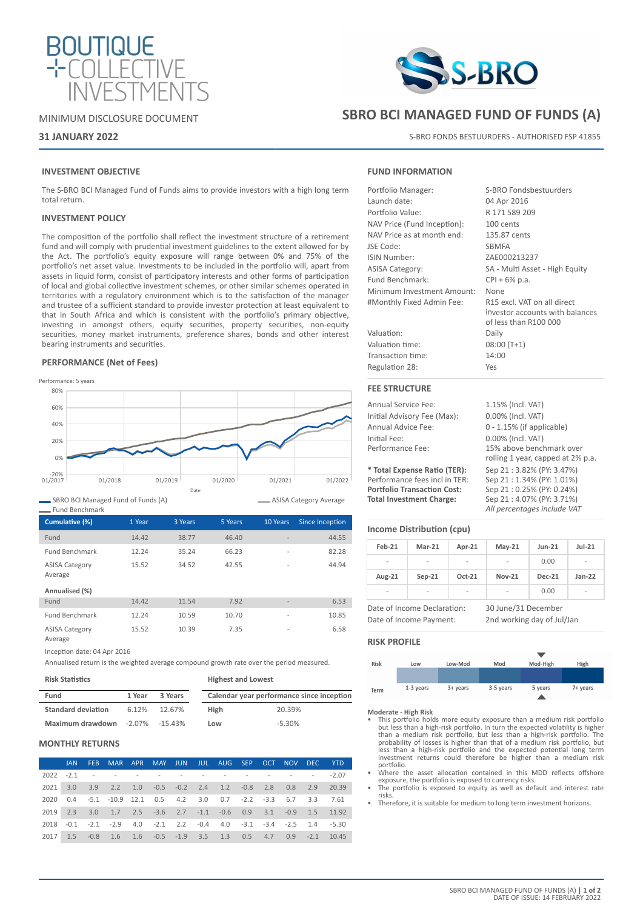

# MINIMUM DISCLOSURE DOCUMENT

# **31 JANUARY 2022**

# **INVESTMENT OBJECTIVE**

The S-BRO BCI Managed Fund of Funds aims to provide investors with a high long term total return.

### **INVESTMENT POLICY**

The composition of the portfolio shall reflect the investment structure of a retirement fund and will comply with prudential investment guidelines to the extent allowed for by the Act. The portfolio's equity exposure will range between 0% and 75% of the portfolio's net asset value. Investments to be included in the portfolio will, apart from assets in liquid form, consist of participatory interests and other forms of participation of local and global collective investment schemes, or other similar schemes operated in territories with a regulatory environment which is to the satisfaction of the manager and trustee of a sufficient standard to provide investor protection at least equivalent to that in South Africa and which is consistent with the portfolio's primary objective, investing in amongst others, equity securities, property securities, non-equity securities, money market instruments, preference shares, bonds and other interest bearing instruments and securities.

### **PERFORMANCE (Net of Fees)**



SBRO BCI Managed Fund of Funds (A)

| - Fund Benchmark                 |        |         |         |                          |                 |
|----------------------------------|--------|---------|---------|--------------------------|-----------------|
| Cumulative (%)                   | 1 Year | 3 Years | 5 Years | 10 Years                 | Since Inception |
| Fund                             | 14.42  | 38.77   | 46.40   | $\overline{\phantom{a}}$ | 44.55           |
| <b>Fund Benchmark</b>            | 12.24  | 35.24   | 66.23   | $\overline{a}$           | 82.28           |
| <b>ASISA Category</b><br>Average | 15.52  | 34.52   | 42.55   | $\overline{a}$           | 44.94           |
| Annualised (%)                   |        |         |         |                          |                 |
| Fund                             | 14.42  | 11.54   | 7.92    | ٠                        | 6.53            |
| <b>Fund Benchmark</b>            | 12.24  | 10.59   | 10.70   | $\overline{\phantom{0}}$ | 10.85           |
| <b>ASISA Category</b><br>Average | 15.52  | 10.39   | 7.35    | $\overline{\phantom{0}}$ | 6.58            |

Inception date: 04 Apr 2016

Annualised return is the weighted average compound growth rate over the period measured.

| <b>Risk Statistics</b>                 |        |         | <b>Highest and Lowest</b> |                                           |  |  |
|----------------------------------------|--------|---------|---------------------------|-------------------------------------------|--|--|
| Fund                                   | 1 Year | 3 Years |                           | Calendar year performance since inception |  |  |
| <b>Standard deviation</b>              | 6.12%  | 12.67%  | <b>High</b>               | 20.39%                                    |  |  |
| <b>Maximum drawdown</b> -2.07% -15.43% |        |         | Low                       | $-5.30%$                                  |  |  |

# **MONTHLY RETURNS**

|      | JAN. | <b>FEB</b> | MAR APR                                                                     |  |  |  | MAY JUN JUL AUG SEP OCT NOV DEC YTD |  |
|------|------|------------|-----------------------------------------------------------------------------|--|--|--|-------------------------------------|--|
|      |      |            | 2022 -2.1 - - - - - - - - - - - - - - - - - 2.07                            |  |  |  |                                     |  |
|      |      |            | 2021 3.0 3.9 2.2 1.0 -0.5 -0.2 2.4 1.2 -0.8 2.8 0.8 2.9 20.39               |  |  |  |                                     |  |
| 2020 |      |            | 0.4 -5.1 -10.9 12.1 0.5 4.2 3.0 0.7 -2.2 -3.3 6.7 3.3 7.61                  |  |  |  |                                     |  |
|      |      |            | 2019  2.3  3.0  1.7  2.5  -3.6  2.7  -1.1  -0.6  0.9  3.1  -0.9  1.5  11.92 |  |  |  |                                     |  |
|      |      |            | 2018 -0.1 -2.1 -2.9 4.0 -2.1 2.2 -0.4 4.0 -3.1 -3.4 -2.5 1.4 -5.30          |  |  |  |                                     |  |
| 2017 |      |            | 1.5 -0.8 1.6 1.6 -0.5 -1.9 3.5 1.3 0.5 4.7 0.9 -2.1 10.45                   |  |  |  |                                     |  |



# **SBRO BCI MANAGED FUND OF FUNDS (A)**

S-BRO FONDS BESTUURDERS - AUTHORISED FSP 41855

## **FUND INFORMATION**

| Portfolio Manager:          | S-BRO Fondsbestuurders                                                                  |
|-----------------------------|-----------------------------------------------------------------------------------------|
| Launch date:                | 04 Apr 2016                                                                             |
| Portfolio Value:            | R 171 589 209                                                                           |
| NAV Price (Fund Inception): | 100 cents                                                                               |
| NAV Price as at month end:  | 135.87 cents                                                                            |
| JSE Code:                   | <b>SBMFA</b>                                                                            |
| ISIN Number:                | ZAE000213237                                                                            |
| <b>ASISA Category:</b>      | SA - Multi Asset - High Equity                                                          |
| Fund Benchmark:             | $CPI + 6\%$ p.a.                                                                        |
| Minimum Investment Amount:  | None                                                                                    |
| #Monthly Fixed Admin Fee:   | R15 excl. VAT on all direct<br>investor accounts with balances<br>of less than R100 000 |
| Valuation:                  | Daily                                                                                   |
| Valuation time:             | $08:00(T+1)$                                                                            |
| Transaction time:           | 14:00                                                                                   |
| Regulation 28:              | Yes                                                                                     |
|                             |                                                                                         |

# **FEE STRUCTURE**

| <b>Annual Service Fee:</b>         | 1.15% (Incl. VAT)                 |
|------------------------------------|-----------------------------------|
| Initial Advisory Fee (Max):        | 0.00% (Incl. VAT)                 |
| Annual Advice Fee:                 | $0 - 1.15\%$ (if applicable)      |
| Initial Fee:                       | 0.00% (Incl. VAT)                 |
| Performance Fee:                   | 15% above benchmark over          |
|                                    | rolling 1 year, capped at 2% p.a. |
| * Total Expense Ratio (TER):       | Sep 21:3.82% (PY: 3.47%)          |
| Performance fees incl in TER:      | Sep 21:1.34% (PY: 1.01%)          |
| <b>Portfolio Transaction Cost:</b> | Sep 21: 0.25% (PY: 0.24%)         |
| <b>Total Investment Charge:</b>    | Sep 21:4.07% (PY: 3.71%)          |
|                                    | All percentages include VAT       |

# **Income Distribution (cpu)**

| Feb-21 | $Mar-21$                                               | Apr-21   | $May-21$                                          | <b>Jun-21</b> | $Jul-21$                 |
|--------|--------------------------------------------------------|----------|---------------------------------------------------|---------------|--------------------------|
|        | $\overline{\phantom{0}}$                               |          |                                                   | 0.00          | $\overline{\phantom{a}}$ |
| Aug-21 | $Sep-21$                                               | $Oct-21$ | <b>Nov-21</b>                                     | <b>Dec-21</b> | $Jan-22$                 |
|        |                                                        |          |                                                   | 0.00          |                          |
|        | Date of Income Declaration:<br>Date of Income Payment: |          | 30 June/31 December<br>2nd working day of Jul/Jan |               |                          |

### **RISK PROFILE**

ASISA Category Average

| Risk | Low         | Low-Mod    | Mod       | Mod-High | High     |
|------|-------------|------------|-----------|----------|----------|
|      |             |            |           |          |          |
|      |             |            |           |          |          |
| Term | $1-3$ years | $3+$ years | 3-5 years | 5 years  | 7+ years |
|      |             |            |           |          |          |

### **Moderate - High Risk**

- This portfolio holds more equity exposure than a medium risk portfolio but less than a high-risk portfolio. In turn the expected volatility is higher than a medium risk portfolio, but less than a high-risk portfolio. The probability of losses is higher than that of a medium risk portfolio, but less than a high-risk portfolio and the expected potential long term investment returns could therefore be higher than a medium risk portfolio.
- Where the asset allocation contained in this MDD reflects offshore
- exposure, the portfolio is exposed to currency risks. The portfolio is exposed to equity as well as default and interest rate risks.
- Therefore, it is suitable for medium to long term investment horizons.